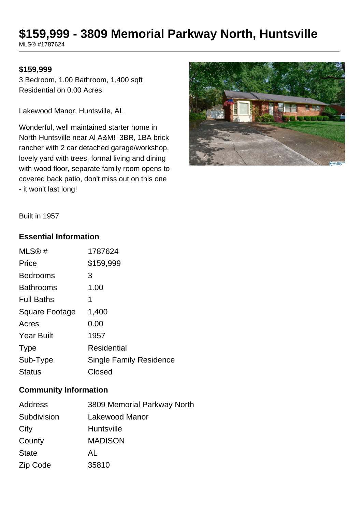# **\$159,999 - 3809 Memorial Parkway North, Huntsville**

MLS® #1787624

### **\$159,999**

3 Bedroom, 1.00 Bathroom, 1,400 sqft Residential on 0.00 Acres

Lakewood Manor, Huntsville, AL

Wonderful, well maintained starter home in North Huntsville near Al A&M! 3BR, 1BA brick rancher with 2 car detached garage/workshop, lovely yard with trees, formal living and dining with wood floor, separate family room opens to covered back patio, don't miss out on this one - it won't last long!



Built in 1957

#### **Essential Information**

| MLS@#                 | 1787624                        |
|-----------------------|--------------------------------|
| Price                 | \$159,999                      |
| <b>Bedrooms</b>       | 3                              |
| <b>Bathrooms</b>      | 1.00                           |
| <b>Full Baths</b>     | 1                              |
| <b>Square Footage</b> | 1,400                          |
| Acres                 | 0.00                           |
| <b>Year Built</b>     | 1957                           |
| <b>Type</b>           | <b>Residential</b>             |
| Sub-Type              | <b>Single Family Residence</b> |
| <b>Status</b>         | Closed                         |

## **Community Information**

| Address      | 3809 Memorial Parkway North |
|--------------|-----------------------------|
| Subdivision  | Lakewood Manor              |
| City         | Huntsville                  |
| County       | <b>MADISON</b>              |
| <b>State</b> | AL                          |
| Zip Code     | 35810                       |